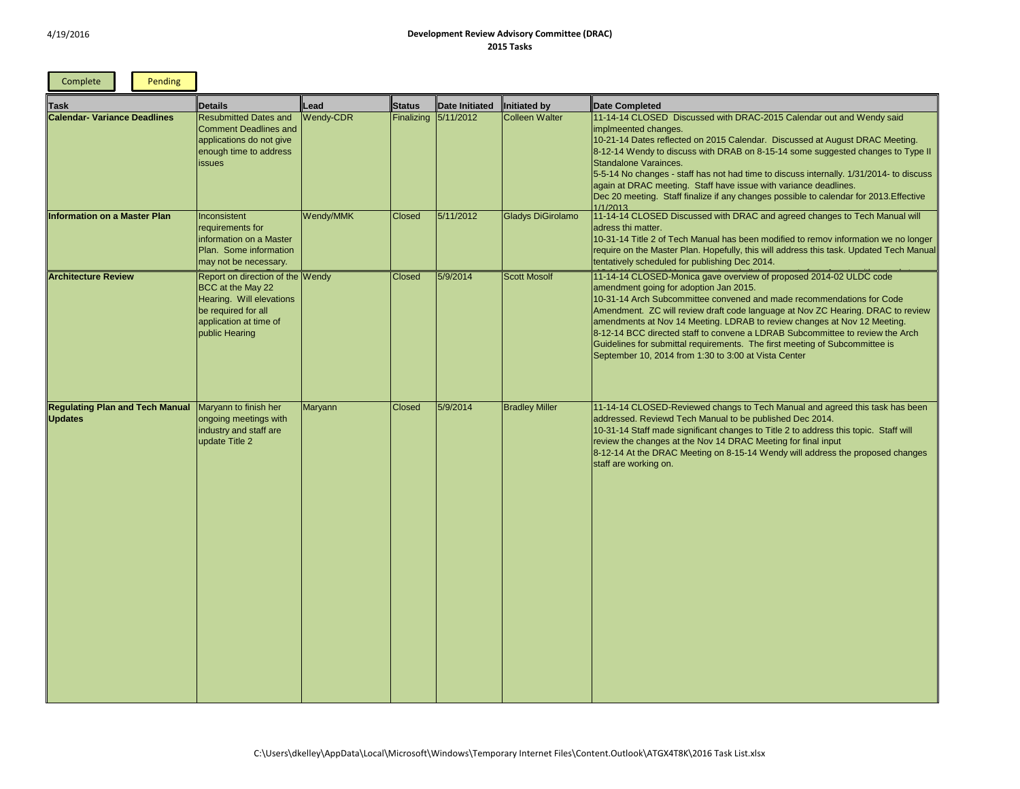## dar out and Wendy said

d at August DRAC Meeting. suggested changes to Type II

nternally. 1/31/2014- to discuss adadlines.

to calendar for 2013.Effective

changes to Tech Manual will

emov information we no longer this task. Updated Tech Manual

## 2014-02 ULDC code

<sub>2</sub> Arm Subcommendations for Code V ZC Hearing. DRAC to review nges at Nov 12 Meeting. ommittee to review the Arch g of Subcommittee is

and agreed this task has been<br>2014.

ddress the proposed changes

| Complete<br>Pending                                      |                                                                                                                                                      |                  |                   |                |                          |                                                                                                                                                                                                                                                                                                                                                                                                                                                                                                                                                                           |
|----------------------------------------------------------|------------------------------------------------------------------------------------------------------------------------------------------------------|------------------|-------------------|----------------|--------------------------|---------------------------------------------------------------------------------------------------------------------------------------------------------------------------------------------------------------------------------------------------------------------------------------------------------------------------------------------------------------------------------------------------------------------------------------------------------------------------------------------------------------------------------------------------------------------------|
| <b>Task</b>                                              | Details                                                                                                                                              | Lead             | Status            | Date Initiated | <b>Initiated by</b>      | Date Completed                                                                                                                                                                                                                                                                                                                                                                                                                                                                                                                                                            |
| <b>Calendar- Variance Deadlines</b>                      | <b>Resubmitted Dates and</b><br><b>Comment Deadlines and</b><br>applications do not give<br>enough time to address<br><b>issues</b>                  | <b>Wendy-CDR</b> | <b>Finalizing</b> | 5/11/2012      | <b>Colleen Walter</b>    | 11-14-14 CLOSED Discussed with DRAC-2015 Calendar out and Wendy said<br>implmeented changes.<br>10-21-14 Dates reflected on 2015 Calendar. Discussed at August DRAC Meeting<br>8-12-14 Wendy to discuss with DRAB on 8-15-14 some suggested changes to Ty<br>Standalone Varainces.<br>5-5-14 No changes - staff has not had time to discuss internally. 1/31/2014- to dise<br>again at DRAC meeting. Staff have issue with variance deadlines.<br>Dec 20 meeting. Staff finalize if any changes possible to calendar for 2013. Effecti<br>1/1/2013                        |
| <b>Information on a Master Plan</b>                      | Inconsistent<br>requirements for<br>information on a Master<br>Plan. Some information<br>may not be necessary.                                       | Wendy/MMK        | <b>Closed</b>     | 5/11/2012      | <b>Gladys DiGirolamo</b> | 11-14-14 CLOSED Discussed with DRAC and agreed changes to Tech Manual w<br>adress thi matter.<br>10-31-14 Title 2 of Tech Manual has been modified to remov information we no lo<br>require on the Master Plan. Hopefully, this will address this task. Updated Tech M<br>tentatively scheduled for publishing Dec 2014.                                                                                                                                                                                                                                                  |
| <b>Architecture Review</b>                               | Report on direction of the Wendy<br>BCC at the May 22<br>Hearing. Will elevations<br>be required for all<br>application at time of<br>public Hearing |                  | <b>Closed</b>     | 5/9/2014       | <b>Scott Mosolf</b>      | 11-14-14 CLOSED-Monica gave overview of proposed 2014-02 ULDC code<br>amendment going for adoption Jan 2015.<br>10-31-14 Arch Subcommittee convened and made recommendations for Code<br>Amendment. ZC will review draft code language at Nov ZC Hearing. DRAC to rev<br>amendments at Nov 14 Meeting. LDRAB to review changes at Nov 12 Meeting.<br>8-12-14 BCC directed staff to convene a LDRAB Subcommittee to review the Arcl<br>Guidelines for submittal requirements. The first meeting of Subcommittee is<br>September 10, 2014 from 1:30 to 3:00 at Vista Center |
| <b>Regulating Plan and Tech Manual</b><br><b>Updates</b> | Maryann to finish her<br>ongoing meetings with<br>industry and staff are<br>update Title 2                                                           | Maryann          | <b>Closed</b>     | 5/9/2014       | <b>Bradley Miller</b>    | 11-14-14 CLOSED-Reviewed changs to Tech Manual and agreed this task has be<br>addressed. Reviewd Tech Manual to be published Dec 2014.<br>10-31-14 Staff made significant changes to Title 2 to address this topic. Staff will<br>review the changes at the Nov 14 DRAC Meeting for final input<br>8-12-14 At the DRAC Meeting on 8-15-14 Wendy will address the proposed chang<br>staff are working on.                                                                                                                                                                  |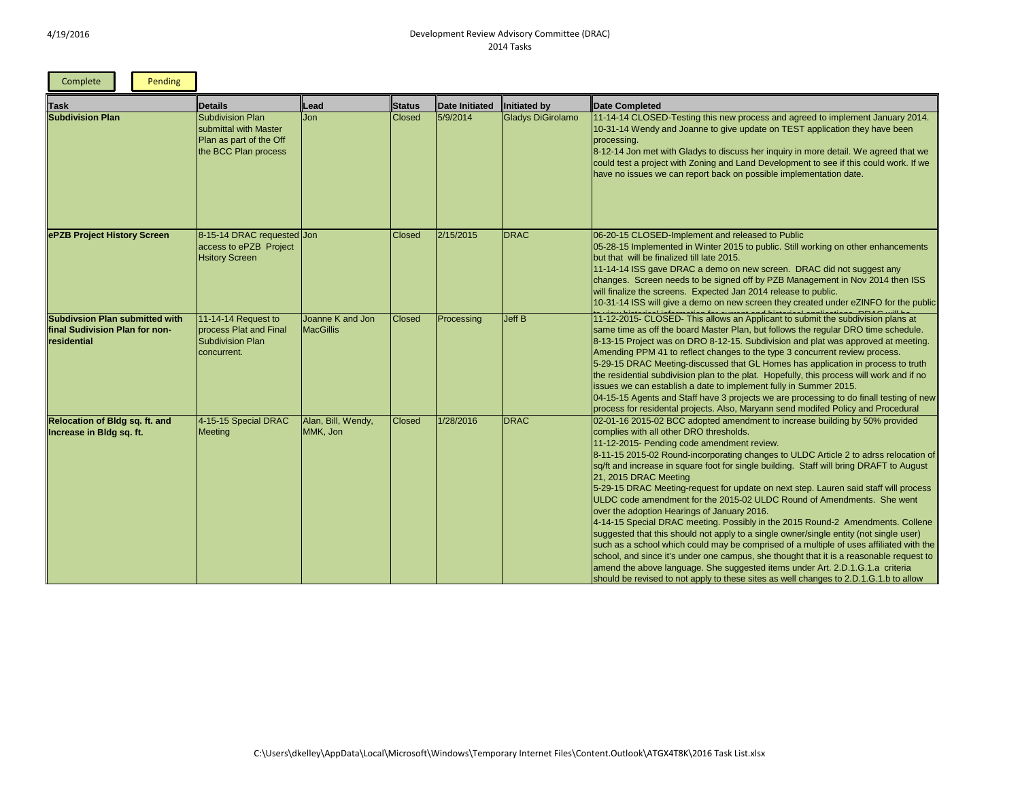| Pending<br>Complete                                                             |                                                                                                     |                                      |               |                |                          |                                                                                                                                                                                                                                                                                                                                                                                                                                                                                                                                                                                                                                                                                                                                                                                                                                                                                                                                                                                                                                                                                                                                               |
|---------------------------------------------------------------------------------|-----------------------------------------------------------------------------------------------------|--------------------------------------|---------------|----------------|--------------------------|-----------------------------------------------------------------------------------------------------------------------------------------------------------------------------------------------------------------------------------------------------------------------------------------------------------------------------------------------------------------------------------------------------------------------------------------------------------------------------------------------------------------------------------------------------------------------------------------------------------------------------------------------------------------------------------------------------------------------------------------------------------------------------------------------------------------------------------------------------------------------------------------------------------------------------------------------------------------------------------------------------------------------------------------------------------------------------------------------------------------------------------------------|
| <b>Task</b>                                                                     | Details                                                                                             | Lead                                 | Status        | Date Initiated | Initiated by             | Date Completed                                                                                                                                                                                                                                                                                                                                                                                                                                                                                                                                                                                                                                                                                                                                                                                                                                                                                                                                                                                                                                                                                                                                |
| <b>Subdivision Plan</b>                                                         | <b>Subdivision Plan</b><br>submittal with Master<br>Plan as part of the Off<br>the BCC Plan process | Jon                                  | <b>Closed</b> | 5/9/2014       | <b>Gladys DiGirolamo</b> | 11-14-14 CLOSED-Testing this new process and agreed to implement January 2014.<br>10-31-14 Wendy and Joanne to give update on TEST application they have been<br>processing.<br>8-12-14 Jon met with Gladys to discuss her inquiry in more detail. We agreed that we<br>could test a project with Zoning and Land Development to see if this could work. If we<br>have no issues we can report back on possible implementation date.                                                                                                                                                                                                                                                                                                                                                                                                                                                                                                                                                                                                                                                                                                          |
| ePZB Project History Screen                                                     | 8-15-14 DRAC requested Jon<br>access to ePZB Project<br><b>Hsitory Screen</b>                       |                                      | <b>Closed</b> | 2/15/2015      | <b>DRAC</b>              | 06-20-15 CLOSED-Implement and released to Public<br>05-28-15 Implemented in Winter 2015 to public. Still working on other enhancements<br>but that will be finalized till late 2015.<br>11-14-14 ISS gave DRAC a demo on new screen. DRAC did not suggest any<br>changes. Screen needs to be signed off by PZB Management in Nov 2014 then ISS<br>will finalize the screens. Expected Jan 2014 release to public.<br>10-31-14 ISS will give a demo on new screen they created under eZINFO for the public                                                                                                                                                                                                                                                                                                                                                                                                                                                                                                                                                                                                                                     |
| Subdivsion Plan submitted with<br>final Sudivision Plan for non-<br>residential | 11-14-14 Request to<br>process Plat and Final<br><b>Subdivision Plan</b><br>concurrent.             | Joanne K and Jon<br><b>MacGillis</b> | <b>Closed</b> | Processing     | Jeff B                   | 11-12-2015- CLOSED- This allows an Applicant to submit the subdivision plans at<br>same time as off the board Master Plan, but follows the regular DRO time schedule.<br>8-13-15 Project was on DRO 8-12-15. Subdivision and plat was approved at meeting.<br>Amending PPM 41 to reflect changes to the type 3 concurrent review process.<br>5-29-15 DRAC Meeting-discussed that GL Homes has application in process to truth<br>the residential subdivision plan to the plat. Hopefully, this process will work and if no<br>issues we can establish a date to implement fully in Summer 2015.<br>04-15-15 Agents and Staff have 3 projects we are processing to do finall testing of new<br>process for residental projects. Also, Maryann send modifed Policy and Procedural                                                                                                                                                                                                                                                                                                                                                               |
| Relocation of Bldg sq. ft. and<br>Increase in Bldg sq. ft.                      | 4-15-15 Special DRAC<br>Meeting                                                                     | Alan, Bill, Wendy,<br>MMK, Jon       | <b>Closed</b> | 1/28/2016      | <b>DRAC</b>              | 02-01-16 2015-02 BCC adopted amendment to increase building by 50% provided<br>complies with all other DRO thresholds.<br>11-12-2015- Pending code amendment review.<br>8-11-15 2015-02 Round-incorporating changes to ULDC Article 2 to adrss relocation of<br>sq/ft and increase in square foot for single building. Staff will bring DRAFT to August<br>21, 2015 DRAC Meeting<br>5-29-15 DRAC Meeting-request for update on next step. Lauren said staff will process<br>ULDC code amendment for the 2015-02 ULDC Round of Amendments. She went<br>over the adoption Hearings of January 2016.<br>4-14-15 Special DRAC meeting. Possibly in the 2015 Round-2 Amendments. Collene<br>suggested that this should not apply to a single owner/single entity (not single user)<br>such as a school which could may be comprised of a multiple of uses affiliated with the<br>school, and since it's under one campus, she thought that it is a reasonable request to<br>amend the above language. She suggested items under Art. 2.D.1.G.1.a criteria<br>should be revised to not apply to these sites as well changes to 2.D.1.G.1.b to allow |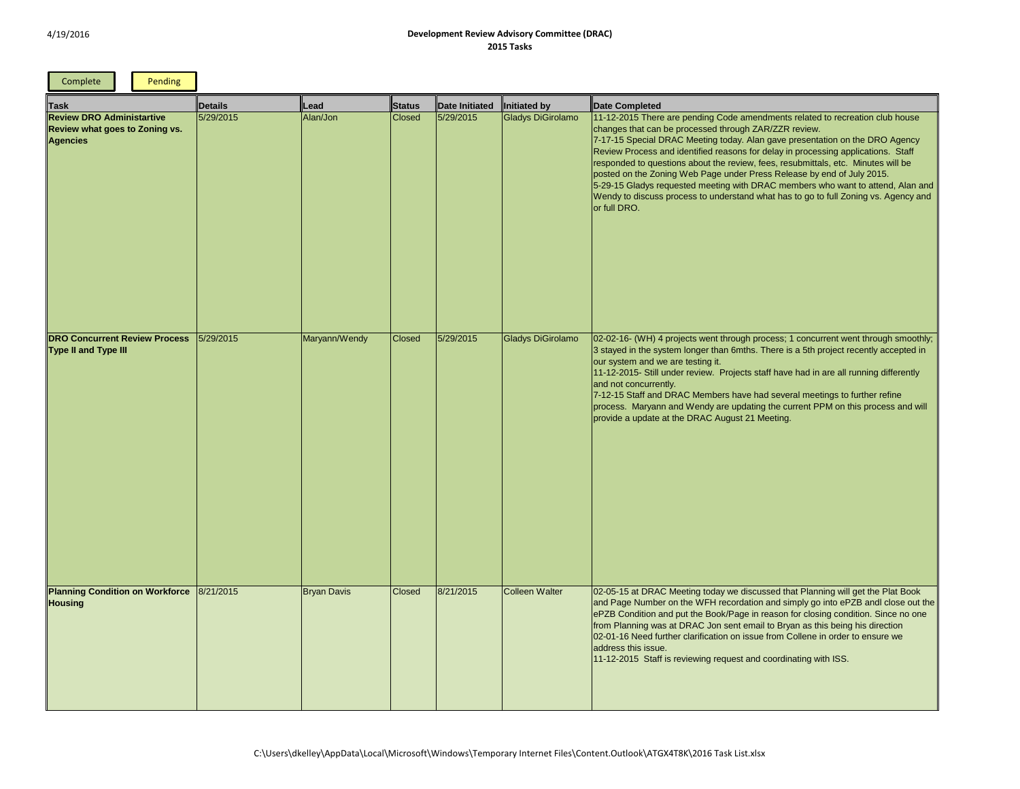| ed to recreation club house<br>W.<br>ntation on the DRO Agency<br>essing applications. Staff<br>ittals, etc. Minutes will be<br>by end of July 2015.<br>s who want to attend, Alan and<br>o to full Zoning vs. Agency and |
|---------------------------------------------------------------------------------------------------------------------------------------------------------------------------------------------------------------------------|
|                                                                                                                                                                                                                           |
|                                                                                                                                                                                                                           |
| current went through smoothly;<br>h project recently accepted in                                                                                                                                                          |
| in are all running differently                                                                                                                                                                                            |
| eetings to further refine<br>PPM on this process and will                                                                                                                                                                 |
|                                                                                                                                                                                                                           |
|                                                                                                                                                                                                                           |
|                                                                                                                                                                                                                           |
|                                                                                                                                                                                                                           |
|                                                                                                                                                                                                                           |
| anning will get the Plat Book<br>go into ePZB andl close out the<br>osing condition. Since no one<br>this being his direction<br>e in order to ensure we                                                                  |
| with ISS.                                                                                                                                                                                                                 |
|                                                                                                                                                                                                                           |

| Complete                                                                              | Pending |           |                    |               |                |                   |                                                                                                                                                                                                                                                                                                                                                                                                                                                                                                                                                                                                                                                                      |
|---------------------------------------------------------------------------------------|---------|-----------|--------------------|---------------|----------------|-------------------|----------------------------------------------------------------------------------------------------------------------------------------------------------------------------------------------------------------------------------------------------------------------------------------------------------------------------------------------------------------------------------------------------------------------------------------------------------------------------------------------------------------------------------------------------------------------------------------------------------------------------------------------------------------------|
| <b>Task</b>                                                                           |         | Details   | Lead               | <b>Status</b> | Date Initiated | Initiated by      | Date Completed                                                                                                                                                                                                                                                                                                                                                                                                                                                                                                                                                                                                                                                       |
| <b>Review DRO Administartive</b><br>Review what goes to Zoning vs.<br><b>Agencies</b> |         | 5/29/2015 | Alan/Jon           | <b>Closed</b> | 5/29/2015      | Gladys DiGirolamo | 11-12-2015 There are pending Code amendments related to recreation club house<br>changes that can be processed through ZAR/ZZR review.<br>7-17-15 Special DRAC Meeting today. Alan gave presentation on the DRO Agency<br>Review Process and identified reasons for delay in processing applications. Staff<br>responded to questions about the review, fees, resubmittals, etc. Minutes will be<br>posted on the Zoning Web Page under Press Release by end of July 2015.<br>5-29-15 Gladys requested meeting with DRAC members who want to attend, Alan and<br>Wendy to discuss process to understand what has to go to full Zoning vs. Agency and<br>or full DRO. |
| <b>DRO Concurrent Review Process</b><br><b>Type II and Type III</b>                   |         | 5/29/2015 | Maryann/Wendy      | <b>Closed</b> | 5/29/2015      | Gladys DiGirolamo | 02-02-16- (WH) 4 projects went through process; 1 concurrent went through smoothly;<br>3 stayed in the system longer than 6mths. There is a 5th project recently accepted in<br>our system and we are testing it.<br>11-12-2015- Still under review. Projects staff have had in are all running differently<br>and not concurrently.<br>7-12-15 Staff and DRAC Members have had several meetings to further refine<br>process. Maryann and Wendy are updating the current PPM on this process and will<br>provide a update at the DRAC August 21 Meeting.                                                                                                            |
| Planning Condition on Workforce<br><b>Housing</b>                                     |         | 8/21/2015 | <b>Bryan Davis</b> | <b>Closed</b> | 8/21/2015      | Colleen Walter    | 02-05-15 at DRAC Meeting today we discussed that Planning will get the Plat Book<br>and Page Number on the WFH recordation and simply go into ePZB andl close out the<br>ePZB Condition and put the Book/Page in reason for closing condition. Since no one<br>from Planning was at DRAC Jon sent email to Bryan as this being his direction<br>02-01-16 Need further clarification on issue from Collene in order to ensure we<br>address this issue.<br>11-12-2015 Staff is reviewing request and coordinating with ISS.                                                                                                                                           |